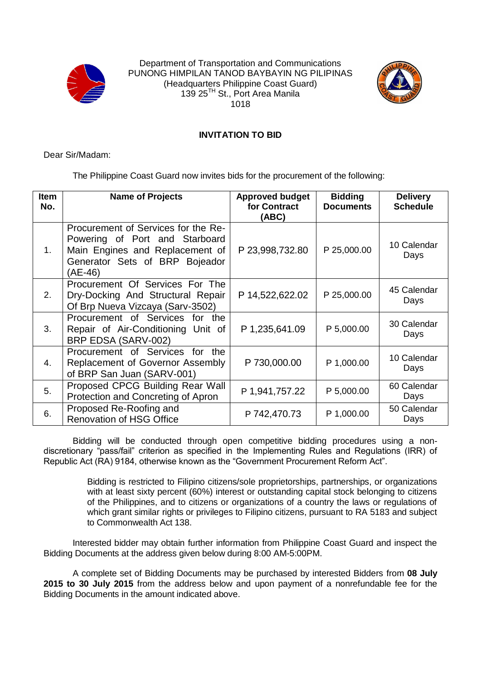

Department of Transportation and Communications PUNONG HIMPILAN TANOD BAYBAYIN NG PILIPINAS (Headquarters Philippine Coast Guard) 139 25<sup>TH</sup> St., Port Area Manila 1018



## **INVITATION TO BID**

Dear Sir/Madam:

The Philippine Coast Guard now invites bids for the procurement of the following:

| <b>Item</b><br>No. | <b>Name of Projects</b>                                                                                                                               | <b>Approved budget</b><br>for Contract<br>(ABC) | <b>Bidding</b><br><b>Documents</b> | <b>Delivery</b><br><b>Schedule</b> |
|--------------------|-------------------------------------------------------------------------------------------------------------------------------------------------------|-------------------------------------------------|------------------------------------|------------------------------------|
| 1.                 | Procurement of Services for the Re-<br>Powering of Port and Starboard<br>Main Engines and Replacement of<br>Generator Sets of BRP Bojeador<br>(AE-46) | P 23,998,732.80                                 | P 25,000.00                        | 10 Calendar<br>Days                |
| 2.                 | Procurement Of Services For The<br>Dry-Docking And Structural Repair<br>Of Brp Nueva Vizcaya (Sarv-3502)                                              | P 14,522,622.02                                 | P 25,000.00                        | 45 Calendar<br>Days                |
| 3.                 | Procurement of Services<br>for<br>the<br>Repair of Air-Conditioning Unit of<br>BRP EDSA (SARV-002)                                                    | P 1,235,641.09                                  | P 5,000.00                         | 30 Calendar<br>Days                |
| 4.                 | Procurement of Services for<br>the.<br>Replacement of Governor Assembly<br>of BRP San Juan (SARV-001)                                                 | P 730,000.00                                    | P 1,000.00                         | 10 Calendar<br>Days                |
| 5.                 | Proposed CPCG Building Rear Wall<br>Protection and Concreting of Apron                                                                                | P 1,941,757.22                                  | P 5,000.00                         | 60 Calendar<br>Days                |
| 6.                 | Proposed Re-Roofing and<br><b>Renovation of HSG Office</b>                                                                                            | P 742,470.73                                    | P 1,000.00                         | 50 Calendar<br>Days                |

Bidding will be conducted through open competitive bidding procedures using a nondiscretionary "pass/fail" criterion as specified in the Implementing Rules and Regulations (IRR) of Republic Act (RA) 9184, otherwise known as the "Government Procurement Reform Act".

> Bidding is restricted to Filipino citizens/sole proprietorships, partnerships, or organizations with at least sixty percent (60%) interest or outstanding capital stock belonging to citizens of the Philippines, and to citizens or organizations of a country the laws or regulations of which grant similar rights or privileges to Filipino citizens, pursuant to RA 5183 and subject to Commonwealth Act 138.

Interested bidder may obtain further information from Philippine Coast Guard and inspect the Bidding Documents at the address given below during 8:00 AM-5:00PM.

A complete set of Bidding Documents may be purchased by interested Bidders from **08 July 2015 to 30 July 2015** from the address below and upon payment of a nonrefundable fee for the Bidding Documents in the amount indicated above.